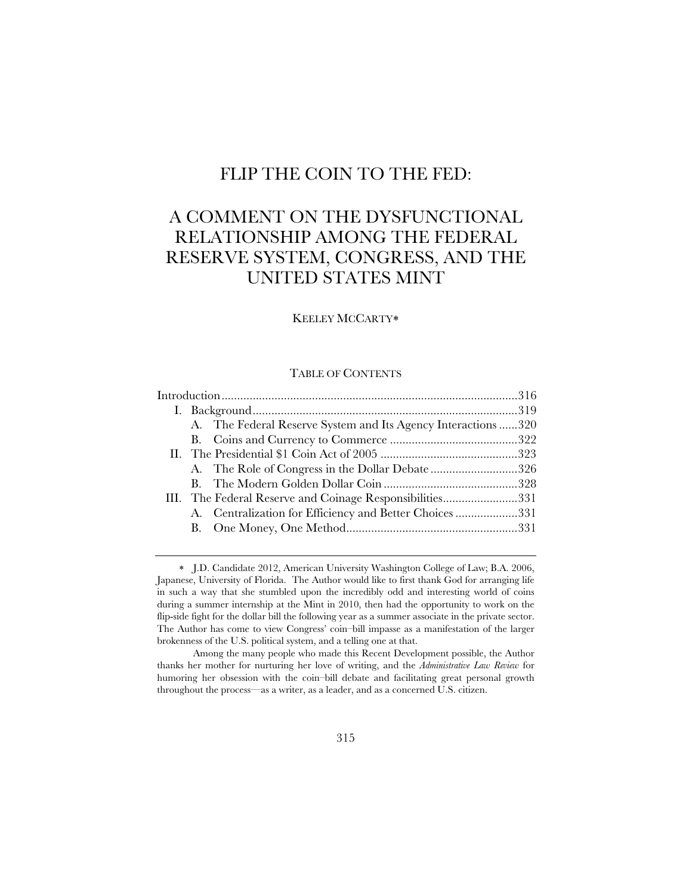# FLIP THE COIN TO THE FED:

# A COMMENT ON THE DYSFUNCTIONAL RELATIONSHIP AMONG THE FEDERAL RESERVE SYSTEM, CONGRESS, AND THE UNITED STATES MINT

## KEELEY MCCARTY

# TABLE OF CONTENTS

|  |  | A. The Federal Reserve System and Its Agency Interactions 320 |  |
|--|--|---------------------------------------------------------------|--|
|  |  |                                                               |  |
|  |  |                                                               |  |
|  |  | A. The Role of Congress in the Dollar Debate326               |  |
|  |  |                                                               |  |
|  |  | III. The Federal Reserve and Coinage Responsibilities331      |  |
|  |  | A. Centralization for Efficiency and Better Choices331        |  |
|  |  |                                                               |  |
|  |  |                                                               |  |

 J.D. Candidate 2012, American University Washington College of Law; B.A. 2006, Japanese, University of Florida. The Author would like to first thank God for arranging life in such a way that she stumbled upon the incredibly odd and interesting world of coins during a summer internship at the Mint in 2010, then had the opportunity to work on the flip-side fight for the dollar bill the following year as a summer associate in the private sector. The Author has come to view Congress' coin–bill impasse as a manifestation of the larger brokenness of the U.S. political system, and a telling one at that.

 Among the many people who made this Recent Development possible, the Author thanks her mother for nurturing her love of writing, and the *Administrative Law Review* for humoring her obsession with the coin–bill debate and facilitating great personal growth throughout the process—as a writer, as a leader, and as a concerned U.S. citizen.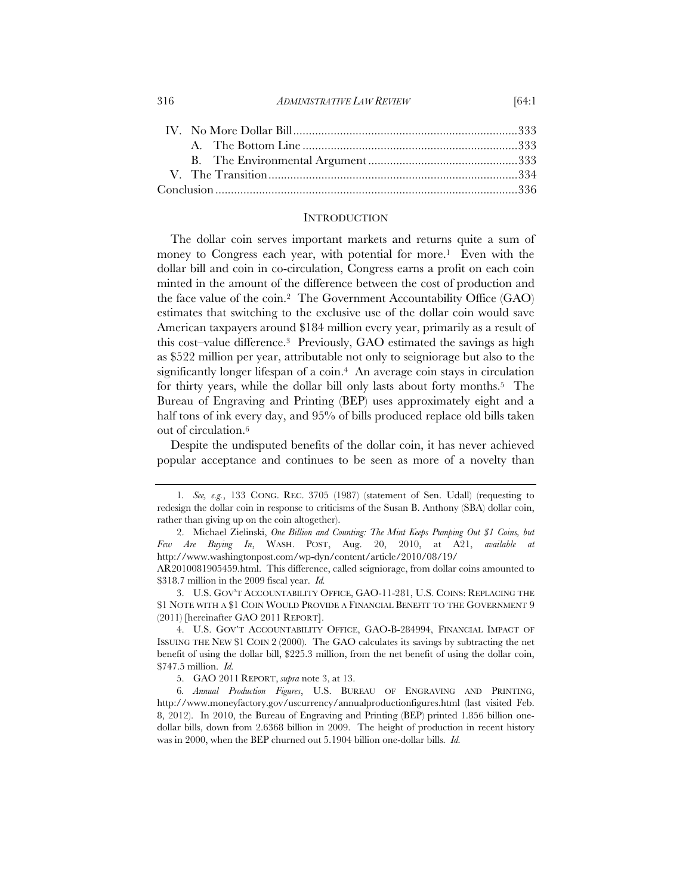#### 316 *ADMINISTRATIVE LAW REVIEW* [64:1

# **INTRODUCTION**

The dollar coin serves important markets and returns quite a sum of money to Congress each year, with potential for more.<sup>1</sup> Even with the dollar bill and coin in co-circulation, Congress earns a profit on each coin minted in the amount of the difference between the cost of production and the face value of the coin.2 The Government Accountability Office (GAO) estimates that switching to the exclusive use of the dollar coin would save American taxpayers around \$184 million every year, primarily as a result of this cost–value difference.3 Previously, GAO estimated the savings as high as \$522 million per year, attributable not only to seigniorage but also to the significantly longer lifespan of a coin.<sup>4</sup> An average coin stays in circulation for thirty years, while the dollar bill only lasts about forty months.5 The Bureau of Engraving and Printing (BEP) uses approximately eight and a half tons of ink every day, and 95% of bills produced replace old bills taken out of circulation.6

Despite the undisputed benefits of the dollar coin, it has never achieved popular acceptance and continues to be seen as more of a novelty than

<sup>1</sup>*. See, e.g.*, 133 CONG. REC. 3705 (1987) (statement of Sen. Udall) (requesting to redesign the dollar coin in response to criticisms of the Susan B. Anthony (SBA) dollar coin, rather than giving up on the coin altogether).

<sup>2.</sup> Michael Zielinski, *One Billion and Counting: The Mint Keeps Pumping Out \$1 Coins, but Few Are Buying In*, WASH. POST, Aug. 20, 2010, at A21, *available at* http://www.washingtonpost.com/wp-dyn/content/article/2010/08/19/

AR2010081905459.html. This difference, called seigniorage, from dollar coins amounted to \$318.7 million in the 2009 fiscal year. *Id.*

<sup>3.</sup> U.S. GOV'T ACCOUNTABILITY OFFICE, GAO-11-281, U.S. COINS: REPLACING THE \$1 NOTE WITH A \$1 COIN WOULD PROVIDE A FINANCIAL BENEFIT TO THE GOVERNMENT 9 (2011) [hereinafter GAO 2011 REPORT].

<sup>4.</sup> U.S. GOV'T ACCOUNTABILITY OFFICE, GAO-B-284994, FINANCIAL IMPACT OF ISSUING THE NEW \$1 COIN 2 (2000). The GAO calculates its savings by subtracting the net benefit of using the dollar bill, \$225.3 million, from the net benefit of using the dollar coin, \$747.5 million. *Id.*

<sup>5.</sup> GAO 2011 REPORT, *supra* note 3, at 13.

<sup>6</sup>*. Annual Production Figures*, U.S. BUREAU OF ENGRAVING AND PRINTING, http://www.moneyfactory.gov/uscurrency/annualproductionfigures.html (last visited Feb. 8, 2012). In 2010, the Bureau of Engraving and Printing (BEP) printed 1.856 billion onedollar bills, down from 2.6368 billion in 2009. The height of production in recent history was in 2000, when the BEP churned out 5.1904 billion one-dollar bills. *Id.*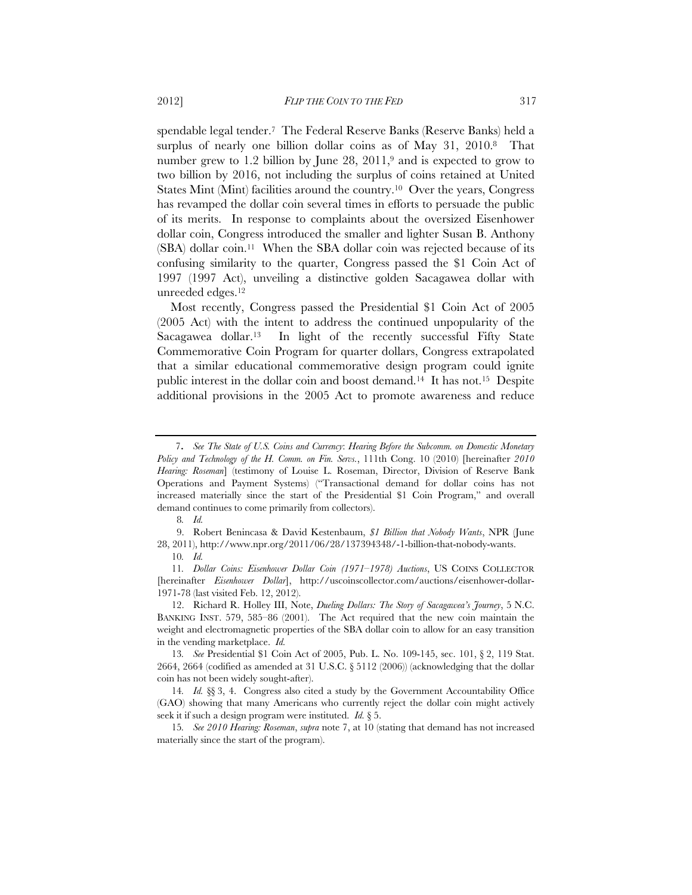spendable legal tender.7 The Federal Reserve Banks (Reserve Banks) held a surplus of nearly one billion dollar coins as of May 31, 2010.8 That number grew to 1.2 billion by June 28, 2011,<sup>9</sup> and is expected to grow to two billion by 2016, not including the surplus of coins retained at United States Mint (Mint) facilities around the country.<sup>10</sup> Over the years, Congress has revamped the dollar coin several times in efforts to persuade the public of its merits. In response to complaints about the oversized Eisenhower dollar coin, Congress introduced the smaller and lighter Susan B. Anthony (SBA) dollar coin.11 When the SBA dollar coin was rejected because of its confusing similarity to the quarter, Congress passed the \$1 Coin Act of 1997 (1997 Act), unveiling a distinctive golden Sacagawea dollar with unreeded edges.12

Most recently, Congress passed the Presidential \$1 Coin Act of 2005 (2005 Act) with the intent to address the continued unpopularity of the Sacagawea dollar.13 In light of the recently successful Fifty State Commemorative Coin Program for quarter dollars, Congress extrapolated that a similar educational commemorative design program could ignite public interest in the dollar coin and boost demand.14 It has not.15 Despite additional provisions in the 2005 Act to promote awareness and reduce

<sup>7</sup>*. See The State of U.S. Coins and Currency*: *Hearing Before the Subcomm. on Domestic Monetary Policy and Technology of the H. Comm. on Fin. Servs.*, 111th Cong. 10 (2010) [hereinafter *2010 Hearing: Roseman*] (testimony of Louise L. Roseman, Director, Division of Reserve Bank Operations and Payment Systems) ("Transactional demand for dollar coins has not increased materially since the start of the Presidential \$1 Coin Program," and overall demand continues to come primarily from collectors).

<sup>8</sup>*. Id.*

<sup>9.</sup> Robert Benincasa & David Kestenbaum, *\$1 Billion that Nobody Wants*, NPR (June 28, 2011), http://www.npr.org/2011/06/28/137394348/-1-billion-that-nobody-wants. 10*. Id.*

<sup>11</sup>*. Dollar Coins: Eisenhower Dollar Coin (1971–1978) Auctions*, US COINS COLLECTOR [hereinafter *Eisenhower Dollar*], http://uscoinscollector.com/auctions/eisenhower-dollar-1971-78 (last visited Feb. 12, 2012).

<sup>12.</sup> Richard R. Holley III, Note, *Dueling Dollars: The Story of Sacagawea's Journey*, 5 N.C. BANKING INST. 579, 585–86 (2001). The Act required that the new coin maintain the weight and electromagnetic properties of the SBA dollar coin to allow for an easy transition in the vending marketplace. *Id.*

<sup>13</sup>*. See* Presidential \$1 Coin Act of 2005, Pub. L. No. 109-145, sec. 101, § 2, 119 Stat. 2664, 2664 (codified as amended at 31 U.S.C. § 5112 (2006)) (acknowledging that the dollar coin has not been widely sought-after).

<sup>14</sup>*. Id.* §§ 3, 4. Congress also cited a study by the Government Accountability Office (GAO) showing that many Americans who currently reject the dollar coin might actively seek it if such a design program were instituted. *Id.* § 5.

<sup>15</sup>*. See 2010 Hearing: Roseman*, *supra* note 7, at 10 (stating that demand has not increased materially since the start of the program).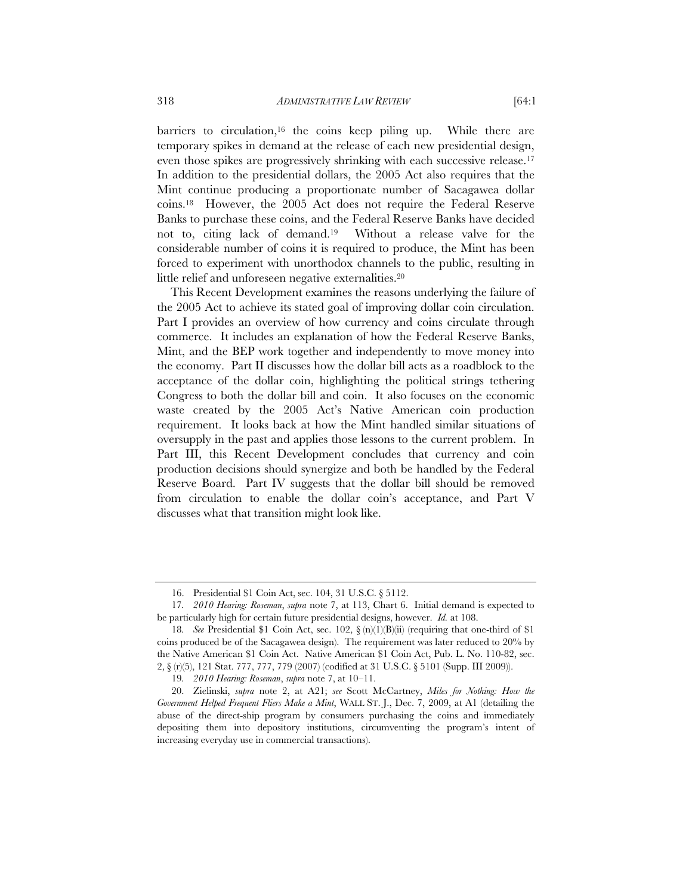barriers to circulation,16 the coins keep piling up. While there are temporary spikes in demand at the release of each new presidential design, even those spikes are progressively shrinking with each successive release.17 In addition to the presidential dollars, the 2005 Act also requires that the Mint continue producing a proportionate number of Sacagawea dollar coins.18 However, the 2005 Act does not require the Federal Reserve Banks to purchase these coins, and the Federal Reserve Banks have decided not to, citing lack of demand.19 Without a release valve for the considerable number of coins it is required to produce, the Mint has been forced to experiment with unorthodox channels to the public, resulting in little relief and unforeseen negative externalities.20

This Recent Development examines the reasons underlying the failure of the 2005 Act to achieve its stated goal of improving dollar coin circulation. Part I provides an overview of how currency and coins circulate through commerce. It includes an explanation of how the Federal Reserve Banks, Mint, and the BEP work together and independently to move money into the economy. Part II discusses how the dollar bill acts as a roadblock to the acceptance of the dollar coin, highlighting the political strings tethering Congress to both the dollar bill and coin. It also focuses on the economic waste created by the 2005 Act's Native American coin production requirement. It looks back at how the Mint handled similar situations of oversupply in the past and applies those lessons to the current problem. In Part III, this Recent Development concludes that currency and coin production decisions should synergize and both be handled by the Federal Reserve Board. Part IV suggests that the dollar bill should be removed from circulation to enable the dollar coin's acceptance, and Part V discusses what that transition might look like.

<sup>16.</sup> Presidential \$1 Coin Act, sec. 104, 31 U.S.C. § 5112.

<sup>17</sup>*. 2010 Hearing: Roseman*, *supra* note 7, at 113, Chart 6. Initial demand is expected to be particularly high for certain future presidential designs, however. *Id.* at 108.

<sup>18</sup>*. See* Presidential \$1 Coin Act, sec. 102, § (n)(1)(B)(ii) (requiring that one-third of \$1 coins produced be of the Sacagawea design). The requirement was later reduced to 20% by the Native American \$1 Coin Act. Native American \$1 Coin Act, Pub. L. No. 110-82, sec. 2, § (r)(5), 121 Stat. 777, 777, 779 (2007) (codified at 31 U.S.C. § 5101 (Supp. III 2009)).

<sup>19</sup>*. 2010 Hearing: Roseman*, *supra* note 7, at 10–11.

<sup>20.</sup> Zielinski, *supra* note 2, at A21; *see* Scott McCartney, *Miles for Nothing: How the Government Helped Frequent Fliers Make a Mint*, WALL ST. J., Dec. 7, 2009, at A1 (detailing the abuse of the direct-ship program by consumers purchasing the coins and immediately depositing them into depository institutions, circumventing the program's intent of increasing everyday use in commercial transactions).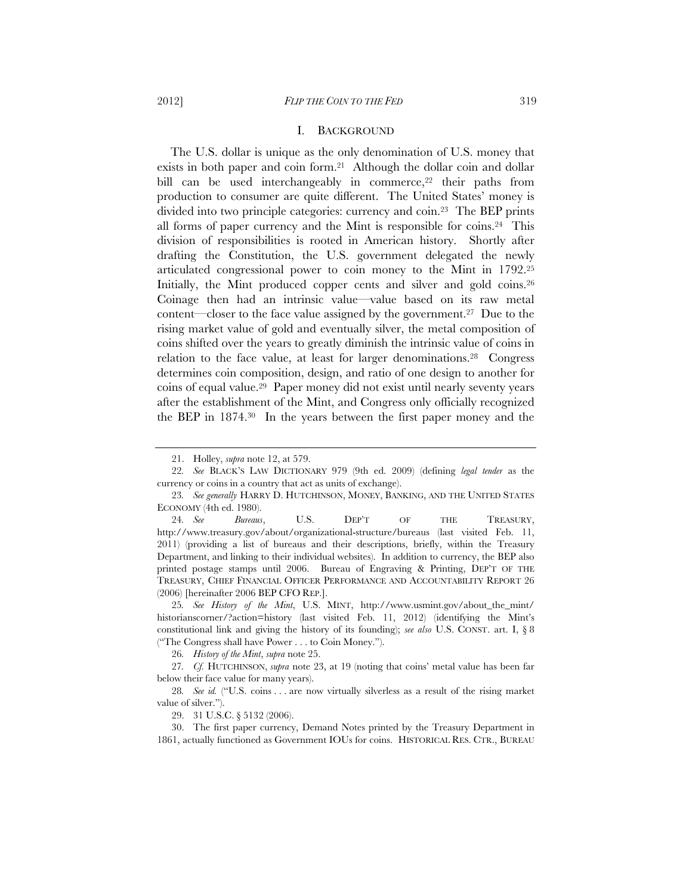### I. BACKGROUND

The U.S. dollar is unique as the only denomination of U.S. money that exists in both paper and coin form.21 Although the dollar coin and dollar bill can be used interchangeably in commerce,<sup>22</sup> their paths from production to consumer are quite different. The United States' money is divided into two principle categories: currency and coin.23 The BEP prints all forms of paper currency and the Mint is responsible for coins.<sup>24</sup> This division of responsibilities is rooted in American history. Shortly after drafting the Constitution, the U.S. government delegated the newly articulated congressional power to coin money to the Mint in 1792.25 Initially, the Mint produced copper cents and silver and gold coins.<sup>26</sup> Coinage then had an intrinsic value—value based on its raw metal content—closer to the face value assigned by the government.27 Due to the rising market value of gold and eventually silver, the metal composition of coins shifted over the years to greatly diminish the intrinsic value of coins in relation to the face value, at least for larger denominations.<sup>28</sup> Congress determines coin composition, design, and ratio of one design to another for coins of equal value.29 Paper money did not exist until nearly seventy years after the establishment of the Mint, and Congress only officially recognized the BEP in 1874.30 In the years between the first paper money and the

26*. History of the Mint*, *supra* note 25.

29. 31 U.S.C. § 5132 (2006).

30. The first paper currency, Demand Notes printed by the Treasury Department in 1861, actually functioned as Government IOUs for coins. HISTORICAL RES. CTR., BUREAU

<sup>21.</sup> Holley, *supra* note 12, at 579.

<sup>22</sup>*. See* BLACK'S LAW DICTIONARY 979 (9th ed. 2009) (defining *legal tender* as the currency or coins in a country that act as units of exchange).

<sup>23</sup>*. See generally* HARRY D. HUTCHINSON, MONEY, BANKING, AND THE UNITED STATES ECONOMY (4th ed. 1980).

<sup>24</sup>*. See Bureaus*, U.S. DEP'T OF THE TREASURY, http://www.treasury.gov/about/organizational-structure/bureaus (last visited Feb. 11, 2011) (providing a list of bureaus and their descriptions, briefly, within the Treasury Department, and linking to their individual websites). In addition to currency, the BEP also printed postage stamps until 2006. Bureau of Engraving & Printing, DEP'T OF THE TREASURY, CHIEF FINANCIAL OFFICER PERFORMANCE AND ACCOUNTABILITY REPORT 26 (2006) [hereinafter 2006 BEP CFO REP.].

<sup>25</sup>*. See History of the Mint*, U.S. MINT, http://www.usmint.gov/about\_the\_mint/ historianscorner/?action=history (last visited Feb. 11, 2012) (identifying the Mint's constitutional link and giving the history of its founding); *see also* U.S. CONST. art. I, § 8 ("The Congress shall have Power . . . to Coin Money.").

<sup>27</sup>*. Cf.* HUTCHINSON, *supra* note 23, at 19 (noting that coins' metal value has been far below their face value for many years).

<sup>28</sup>*. See id.* ("U.S. coins . . . are now virtually silverless as a result of the rising market value of silver.").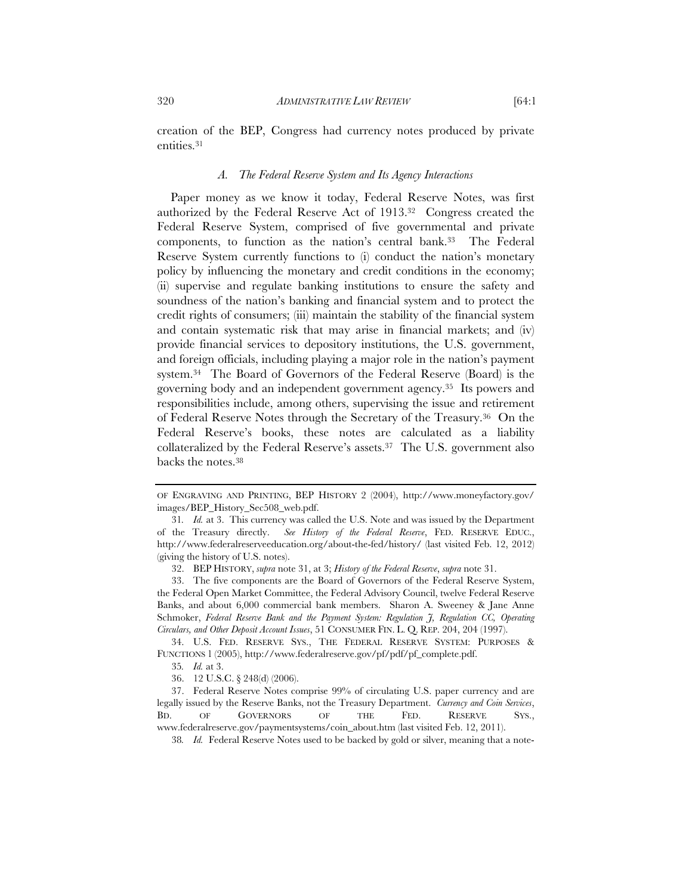creation of the BEP, Congress had currency notes produced by private entities.31

#### *A. The Federal Reserve System and Its Agency Interactions*

Paper money as we know it today, Federal Reserve Notes, was first authorized by the Federal Reserve Act of 1913.32 Congress created the Federal Reserve System, comprised of five governmental and private components, to function as the nation's central bank.33 The Federal Reserve System currently functions to (i) conduct the nation's monetary policy by influencing the monetary and credit conditions in the economy; (ii) supervise and regulate banking institutions to ensure the safety and soundness of the nation's banking and financial system and to protect the credit rights of consumers; (iii) maintain the stability of the financial system and contain systematic risk that may arise in financial markets; and (iv) provide financial services to depository institutions, the U.S. government, and foreign officials, including playing a major role in the nation's payment system.34 The Board of Governors of the Federal Reserve (Board) is the governing body and an independent government agency.35 Its powers and responsibilities include, among others, supervising the issue and retirement of Federal Reserve Notes through the Secretary of the Treasury.36 On the Federal Reserve's books, these notes are calculated as a liability collateralized by the Federal Reserve's assets.37 The U.S. government also backs the notes.38

OF ENGRAVING AND PRINTING, BEP HISTORY 2 (2004), http://www.moneyfactory.gov/ images/BEP\_History\_Sec508\_web.pdf.

<sup>31</sup>*. Id.* at 3. This currency was called the U.S. Note and was issued by the Department of the Treasury directly. *See History of the Federal Reserve*, FED. RESERVE EDUC., http://www.federalreserveeducation.org/about-the-fed/history/ (last visited Feb. 12, 2012) (giving the history of U.S. notes).

<sup>32.</sup> BEP HISTORY, *supra* note 31, at 3; *History of the Federal Reserve*, *supra* note 31.

<sup>33.</sup> The five components are the Board of Governors of the Federal Reserve System, the Federal Open Market Committee, the Federal Advisory Council, twelve Federal Reserve Banks, and about 6,000 commercial bank members. Sharon A. Sweeney & Jane Anne Schmoker, *Federal Reserve Bank and the Payment System: Regulation J, Regulation CC, Operating Circulars, and Other Deposit Account Issues*, 51 CONSUMER FIN. L. Q. REP. 204, 204 (1997).

<sup>34.</sup> U.S. FED. RESERVE SYS., THE FEDERAL RESERVE SYSTEM: PURPOSES & FUNCTIONS 1 (2005), http://www.federalreserve.gov/pf/pdf/pf\_complete.pdf.

<sup>35</sup>*. Id.* at 3.

<sup>36. 12</sup> U.S.C. § 248(d) (2006).

<sup>37.</sup> Federal Reserve Notes comprise 99% of circulating U.S. paper currency and are legally issued by the Reserve Banks, not the Treasury Department. *Currency and Coin Services*, BD. OF GOVERNORS OF THE FED. RESERVE SYS., www.federalreserve.gov/paymentsystems/coin\_about.htm (last visited Feb. 12, 2011).

<sup>38</sup>*. Id.* Federal Reserve Notes used to be backed by gold or silver, meaning that a note-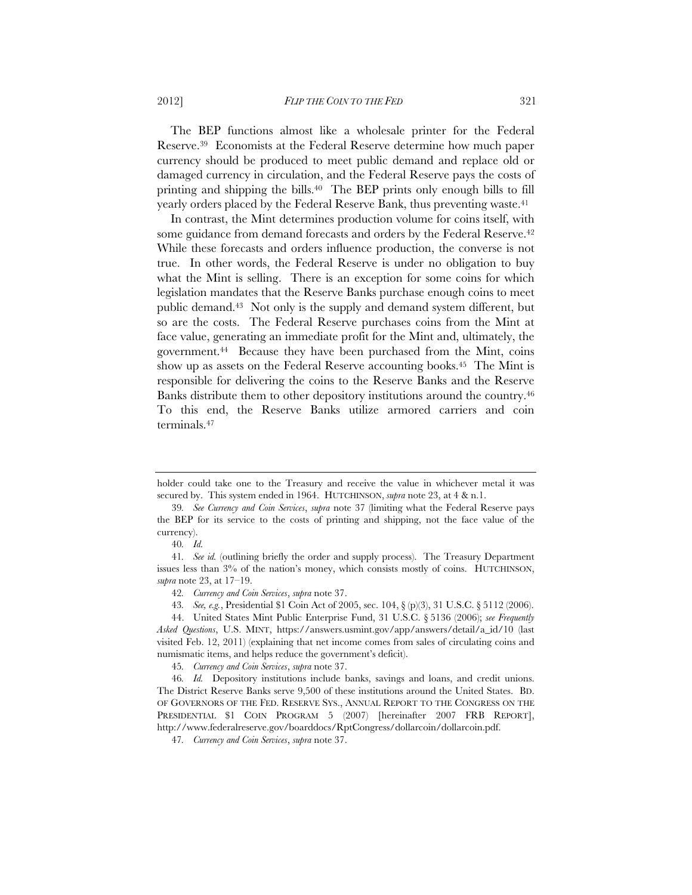The BEP functions almost like a wholesale printer for the Federal Reserve.39 Economists at the Federal Reserve determine how much paper currency should be produced to meet public demand and replace old or damaged currency in circulation, and the Federal Reserve pays the costs of printing and shipping the bills.40 The BEP prints only enough bills to fill yearly orders placed by the Federal Reserve Bank, thus preventing waste.<sup>41</sup>

In contrast, the Mint determines production volume for coins itself, with some guidance from demand forecasts and orders by the Federal Reserve.<sup>42</sup> While these forecasts and orders influence production, the converse is not true. In other words, the Federal Reserve is under no obligation to buy what the Mint is selling. There is an exception for some coins for which legislation mandates that the Reserve Banks purchase enough coins to meet public demand.43 Not only is the supply and demand system different, but so are the costs. The Federal Reserve purchases coins from the Mint at face value, generating an immediate profit for the Mint and, ultimately, the government.44 Because they have been purchased from the Mint, coins show up as assets on the Federal Reserve accounting books.<sup>45</sup> The Mint is responsible for delivering the coins to the Reserve Banks and the Reserve Banks distribute them to other depository institutions around the country.46 To this end, the Reserve Banks utilize armored carriers and coin terminals.47

holder could take one to the Treasury and receive the value in whichever metal it was secured by. This system ended in 1964. HUTCHINSON, *supra* note 23, at 4 & n.1.

<sup>39</sup>*. See Currency and Coin Services*, *supra* note 37 (limiting what the Federal Reserve pays the BEP for its service to the costs of printing and shipping, not the face value of the currency).

<sup>40</sup>*. Id.*

<sup>41</sup>*. See id.* (outlining briefly the order and supply process).The Treasury Department issues less than 3% of the nation's money, which consists mostly of coins. HUTCHINSON, *supra* note 23, at 17–19.

<sup>42</sup>*. Currency and Coin Services*, *supra* note 37.

<sup>43</sup>*. See, e.g.*, Presidential \$1 Coin Act of 2005, sec. 104, § (p)(3), 31 U.S.C. § 5112 (2006).

<sup>44.</sup> United States Mint Public Enterprise Fund, 31 U.S.C. § 5136 (2006); *see Frequently Asked Questions*, U.S. MINT, https://answers.usmint.gov/app/answers/detail/a\_id/10 (last visited Feb. 12, 2011) (explaining that net income comes from sales of circulating coins and numismatic items, and helps reduce the government's deficit).

<sup>45</sup>*. Currency and Coin Services*, *supra* note 37.

<sup>46</sup>*. Id.* Depository institutions include banks, savings and loans, and credit unions. The District Reserve Banks serve 9,500 of these institutions around the United States. BD. OF GOVERNORS OF THE FED. RESERVE SYS., ANNUAL REPORT TO THE CONGRESS ON THE PRESIDENTIAL \$1 COIN PROGRAM 5 (2007) [hereinafter 2007 FRB REPORT], http://www.federalreserve.gov/boarddocs/RptCongress/dollarcoin/dollarcoin.pdf.

<sup>47</sup>*. Currency and Coin Services*, *supra* note 37.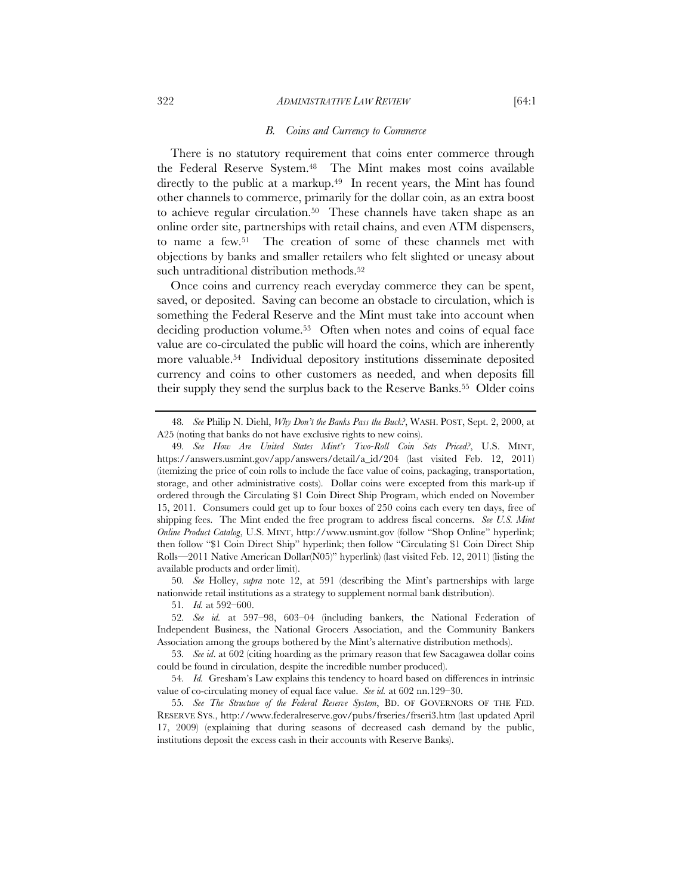#### 322 *ADMINISTRATIVE LAW REVIEW* [64:1

#### *B. Coins and Currency to Commerce*

There is no statutory requirement that coins enter commerce through the Federal Reserve System.48 The Mint makes most coins available directly to the public at a markup.<sup>49</sup> In recent years, the Mint has found other channels to commerce, primarily for the dollar coin, as an extra boost to achieve regular circulation.50 These channels have taken shape as an online order site, partnerships with retail chains, and even ATM dispensers, to name a few.51 The creation of some of these channels met with objections by banks and smaller retailers who felt slighted or uneasy about such untraditional distribution methods.<sup>52</sup>

Once coins and currency reach everyday commerce they can be spent, saved, or deposited. Saving can become an obstacle to circulation, which is something the Federal Reserve and the Mint must take into account when deciding production volume.<sup>53</sup> Often when notes and coins of equal face value are co-circulated the public will hoard the coins, which are inherently more valuable.54 Individual depository institutions disseminate deposited currency and coins to other customers as needed, and when deposits fill their supply they send the surplus back to the Reserve Banks.<sup>55</sup> Older coins

50*. See* Holley, *supra* note 12, at 591 (describing the Mint's partnerships with large nationwide retail institutions as a strategy to supplement normal bank distribution).

<sup>48</sup>*. See* Philip N. Diehl, *Why Don't the Banks Pass the Buck?*, WASH. POST, Sept. 2, 2000, at A25 (noting that banks do not have exclusive rights to new coins).

<sup>49</sup>*. See How Are United States Mint's Two-Roll Coin Sets Priced?*, U.S. MINT, https://answers.usmint.gov/app/answers/detail/a\_id/204 (last visited Feb. 12, 2011) (itemizing the price of coin rolls to include the face value of coins, packaging, transportation, storage, and other administrative costs). Dollar coins were excepted from this mark-up if ordered through the Circulating \$1 Coin Direct Ship Program, which ended on November 15, 2011. Consumers could get up to four boxes of 250 coins each every ten days, free of shipping fees. The Mint ended the free program to address fiscal concerns. *See U.S. Mint Online Product Catalog*, U.S. MINT, http://www.usmint.gov (follow "Shop Online" hyperlink; then follow "\$1 Coin Direct Ship" hyperlink; then follow "Circulating \$1 Coin Direct Ship Rolls—2011 Native American Dollar(N05)" hyperlink) (last visited Feb. 12, 2011) (listing the available products and order limit).

<sup>51</sup>*. Id.* at 592–600.

<sup>52</sup>*. See id.* at 597–98, 603–04 (including bankers, the National Federation of Independent Business, the National Grocers Association, and the Community Bankers Association among the groups bothered by the Mint's alternative distribution methods).

<sup>53</sup>*. See id*. at 602 (citing hoarding as the primary reason that few Sacagawea dollar coins could be found in circulation, despite the incredible number produced).

<sup>54</sup>*. Id.* Gresham's Law explains this tendency to hoard based on differences in intrinsic value of co-circulating money of equal face value. *See id.* at 602 nn.129–30.

<sup>55</sup>*. See The Structure of the Federal Reserve System*, BD. OF GOVERNORS OF THE FED. RESERVE SYS., http://www.federalreserve.gov/pubs/frseries/frseri3.htm (last updated April 17, 2009) (explaining that during seasons of decreased cash demand by the public, institutions deposit the excess cash in their accounts with Reserve Banks).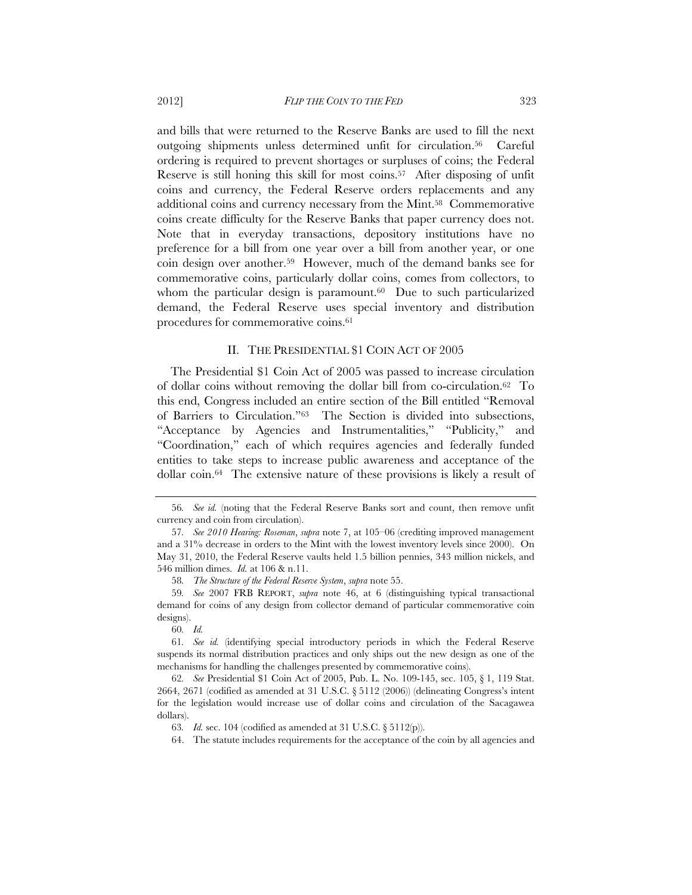and bills that were returned to the Reserve Banks are used to fill the next outgoing shipments unless determined unfit for circulation.56 Careful ordering is required to prevent shortages or surpluses of coins; the Federal Reserve is still honing this skill for most coins.57 After disposing of unfit coins and currency, the Federal Reserve orders replacements and any additional coins and currency necessary from the Mint.58 Commemorative coins create difficulty for the Reserve Banks that paper currency does not. Note that in everyday transactions, depository institutions have no preference for a bill from one year over a bill from another year, or one coin design over another.59 However, much of the demand banks see for commemorative coins, particularly dollar coins, comes from collectors, to whom the particular design is paramount.<sup>60</sup> Due to such particularized demand, the Federal Reserve uses special inventory and distribution procedures for commemorative coins.61

## II. THE PRESIDENTIAL \$1 COIN ACT OF 2005

The Presidential \$1 Coin Act of 2005 was passed to increase circulation of dollar coins without removing the dollar bill from co-circulation.62 To this end, Congress included an entire section of the Bill entitled "Removal of Barriers to Circulation."63 The Section is divided into subsections, "Acceptance by Agencies and Instrumentalities," "Publicity," and "Coordination," each of which requires agencies and federally funded entities to take steps to increase public awareness and acceptance of the dollar coin.64 The extensive nature of these provisions is likely a result of

60*. Id.*

<sup>56</sup>*. See id.* (noting that the Federal Reserve Banks sort and count, then remove unfit currency and coin from circulation).

<sup>57</sup>*. See 2010 Hearing: Roseman*, *supra* note 7, at 105–06 (crediting improved management and a 31% decrease in orders to the Mint with the lowest inventory levels since 2000). On May 31, 2010, the Federal Reserve vaults held 1.5 billion pennies, 343 million nickels, and 546 million dimes. *Id.* at 106 & n.11.

<sup>58</sup>*. The Structure of the Federal Reserve System*, *supra* note 55.

<sup>59</sup>*. See* 2007 FRB REPORT, *supra* note 46, at 6 (distinguishing typical transactional demand for coins of any design from collector demand of particular commemorative coin designs).

<sup>61</sup>*. See id.* (identifying special introductory periods in which the Federal Reserve suspends its normal distribution practices and only ships out the new design as one of the mechanisms for handling the challenges presented by commemorative coins).

<sup>62</sup>*. See* Presidential \$1 Coin Act of 2005, Pub. L. No. 109-145, sec. 105, § 1, 119 Stat. 2664, 2671 (codified as amended at 31 U.S.C. § 5112 (2006)) (delineating Congress's intent for the legislation would increase use of dollar coins and circulation of the Sacagawea dollars).

<sup>63</sup>*. Id.* sec. 104 (codified as amended at 31 U.S.C. § 5112(p)).

<sup>64.</sup> The statute includes requirements for the acceptance of the coin by all agencies and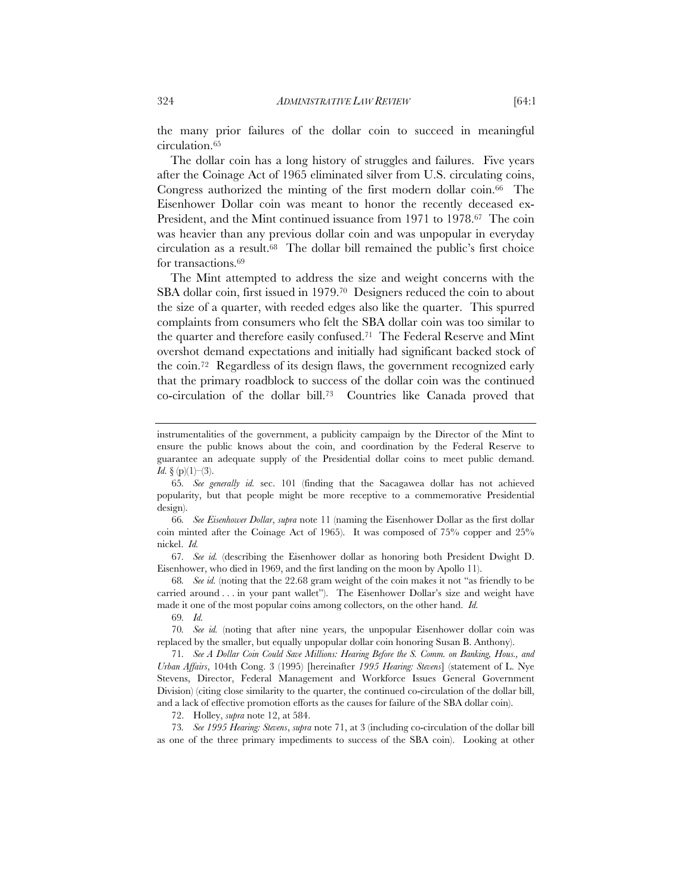the many prior failures of the dollar coin to succeed in meaningful circulation.65

The dollar coin has a long history of struggles and failures. Five years after the Coinage Act of 1965 eliminated silver from U.S. circulating coins, Congress authorized the minting of the first modern dollar coin.<sup>66</sup> The Eisenhower Dollar coin was meant to honor the recently deceased ex-President, and the Mint continued issuance from 1971 to 1978.67 The coin was heavier than any previous dollar coin and was unpopular in everyday circulation as a result.68 The dollar bill remained the public's first choice for transactions.69

The Mint attempted to address the size and weight concerns with the SBA dollar coin, first issued in 1979.70 Designers reduced the coin to about the size of a quarter, with reeded edges also like the quarter. This spurred complaints from consumers who felt the SBA dollar coin was too similar to the quarter and therefore easily confused.71 The Federal Reserve and Mint overshot demand expectations and initially had significant backed stock of the coin.72 Regardless of its design flaws, the government recognized early that the primary roadblock to success of the dollar coin was the continued co-circulation of the dollar bill.73 Countries like Canada proved that

67*. See id.* (describing the Eisenhower dollar as honoring both President Dwight D. Eisenhower, who died in 1969, and the first landing on the moon by Apollo 11).

68*. See id.* (noting that the 22.68 gram weight of the coin makes it not "as friendly to be carried around . . . in your pant wallet"). The Eisenhower Dollar's size and weight have made it one of the most popular coins among collectors, on the other hand. *Id.* 

69*. Id.*

70*. See id.* (noting that after nine years, the unpopular Eisenhower dollar coin was replaced by the smaller, but equally unpopular dollar coin honoring Susan B. Anthony).

71*. See A Dollar Coin Could Save Millions: Hearing Before the S. Comm. on Banking, Hous., and Urban Affairs*, 104th Cong. 3 (1995) [hereinafter *1995 Hearing: Stevens*] (statement of L. Nye Stevens, Director, Federal Management and Workforce Issues General Government Division) (citing close similarity to the quarter, the continued co-circulation of the dollar bill, and a lack of effective promotion efforts as the causes for failure of the SBA dollar coin).

72. Holley, *supra* note 12, at 584.

73*. See 1995 Hearing: Stevens*, *supra* note 71, at 3 (including co-circulation of the dollar bill as one of the three primary impediments to success of the SBA coin). Looking at other

instrumentalities of the government, a publicity campaign by the Director of the Mint to ensure the public knows about the coin, and coordination by the Federal Reserve to guarantee an adequate supply of the Presidential dollar coins to meet public demand. *Id.*  $\{(p)(1)-(3)\}.$ 

<sup>65</sup>*. See generally id.* sec. 101 (finding that the Sacagawea dollar has not achieved popularity, but that people might be more receptive to a commemorative Presidential design).

<sup>66</sup>*. See Eisenhower Dollar*, *supra* note 11 (naming the Eisenhower Dollar as the first dollar coin minted after the Coinage Act of 1965). It was composed of 75% copper and 25% nickel. *Id.*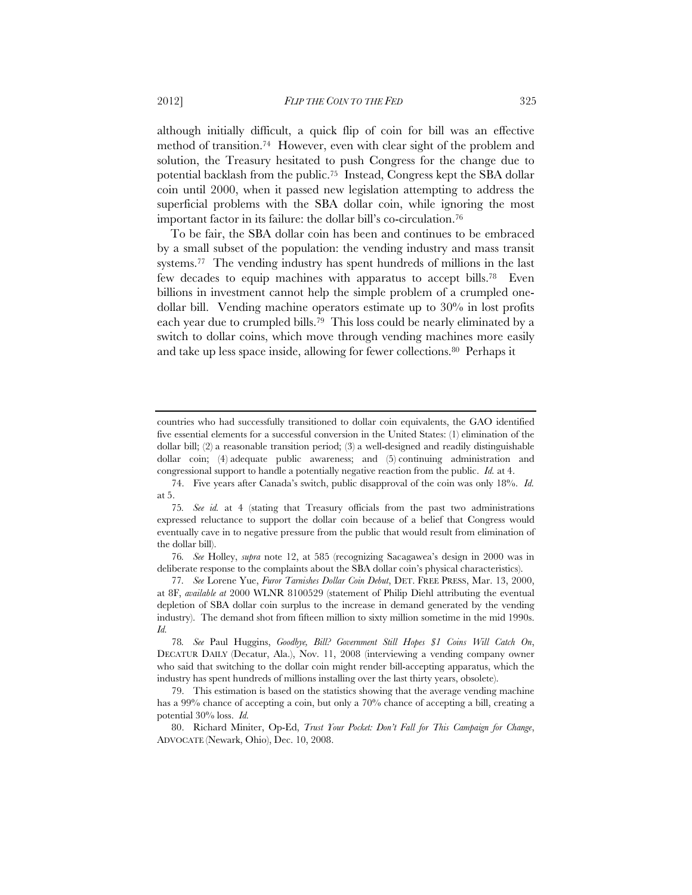although initially difficult, a quick flip of coin for bill was an effective method of transition.74 However, even with clear sight of the problem and solution, the Treasury hesitated to push Congress for the change due to potential backlash from the public.75 Instead, Congress kept the SBA dollar coin until 2000, when it passed new legislation attempting to address the superficial problems with the SBA dollar coin, while ignoring the most important factor in its failure: the dollar bill's co-circulation.76

To be fair, the SBA dollar coin has been and continues to be embraced by a small subset of the population: the vending industry and mass transit systems.<sup>77</sup> The vending industry has spent hundreds of millions in the last few decades to equip machines with apparatus to accept bills.78 Even billions in investment cannot help the simple problem of a crumpled onedollar bill. Vending machine operators estimate up to 30% in lost profits each year due to crumpled bills.79 This loss could be nearly eliminated by a switch to dollar coins, which move through vending machines more easily and take up less space inside, allowing for fewer collections.80 Perhaps it

76*. See* Holley, *supra* note 12, at 585 (recognizing Sacagawea's design in 2000 was in deliberate response to the complaints about the SBA dollar coin's physical characteristics).

countries who had successfully transitioned to dollar coin equivalents, the GAO identified five essential elements for a successful conversion in the United States: (1) elimination of the dollar bill; (2) a reasonable transition period; (3) a well-designed and readily distinguishable dollar coin; (4) adequate public awareness; and (5) continuing administration and congressional support to handle a potentially negative reaction from the public. *Id.* at 4.

<sup>74.</sup> Five years after Canada's switch, public disapproval of the coin was only 18%. *Id.* at 5.

<sup>75</sup>*. See id.* at 4 (stating that Treasury officials from the past two administrations expressed reluctance to support the dollar coin because of a belief that Congress would eventually cave in to negative pressure from the public that would result from elimination of the dollar bill).

<sup>77</sup>*. See* Lorene Yue, *Furor Tarnishes Dollar Coin Debut*, DET. FREE PRESS, Mar. 13, 2000, at 8F, *available at* 2000 WLNR 8100529 (statement of Philip Diehl attributing the eventual depletion of SBA dollar coin surplus to the increase in demand generated by the vending industry). The demand shot from fifteen million to sixty million sometime in the mid 1990s. *Id.* 

<sup>78</sup>*. See* Paul Huggins, *Goodbye, Bill? Government Still Hopes \$1 Coins Will Catch On*, DECATUR DAILY (Decatur, Ala.), Nov. 11, 2008 (interviewing a vending company owner who said that switching to the dollar coin might render bill-accepting apparatus, which the industry has spent hundreds of millions installing over the last thirty years, obsolete).

<sup>79.</sup> This estimation is based on the statistics showing that the average vending machine has a 99% chance of accepting a coin, but only a 70% chance of accepting a bill, creating a potential 30% loss. *Id.*

<sup>80.</sup> Richard Miniter, Op-Ed, *Trust Your Pocket: Don't Fall for This Campaign for Change*, ADVOCATE (Newark, Ohio), Dec. 10, 2008.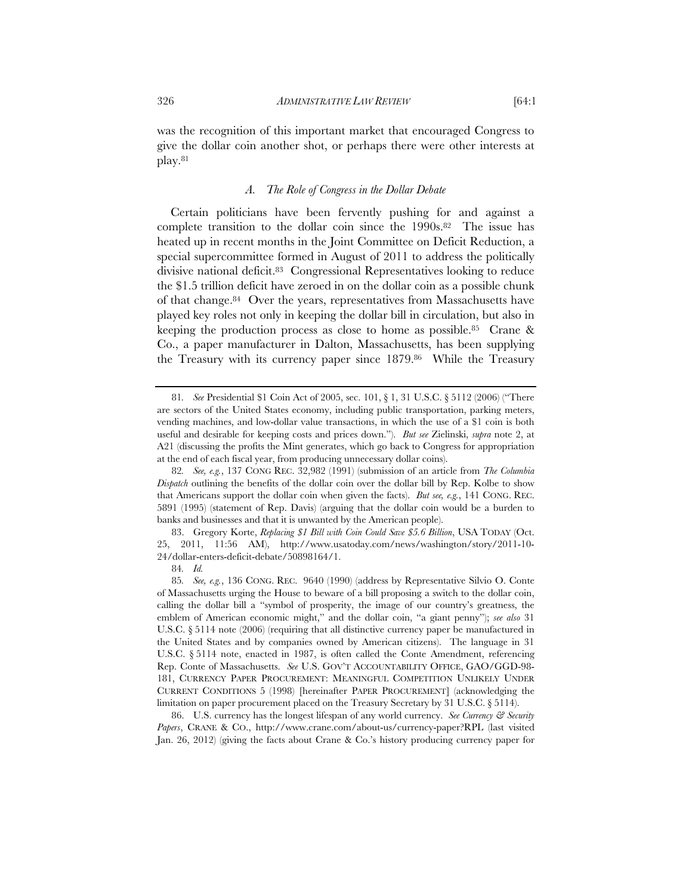was the recognition of this important market that encouraged Congress to give the dollar coin another shot, or perhaps there were other interests at play.81

## *A. The Role of Congress in the Dollar Debate*

Certain politicians have been fervently pushing for and against a complete transition to the dollar coin since the 1990s.82 The issue has heated up in recent months in the Joint Committee on Deficit Reduction, a special supercommittee formed in August of 2011 to address the politically divisive national deficit.83 Congressional Representatives looking to reduce the \$1.5 trillion deficit have zeroed in on the dollar coin as a possible chunk of that change.84 Over the years, representatives from Massachusetts have played key roles not only in keeping the dollar bill in circulation, but also in keeping the production process as close to home as possible.85 Crane & Co., a paper manufacturer in Dalton, Massachusetts, has been supplying the Treasury with its currency paper since 1879.86 While the Treasury

83. Gregory Korte, *Replacing \$1 Bill with Coin Could Save \$5.6 Billion*, USA TODAY (Oct. 25, 2011, 11:56 AM), http://www.usatoday.com/news/washington/story/2011-10- 24/dollar-enters-deficit-debate/50898164/1.

84*. Id.*

86. U.S. currency has the longest lifespan of any world currency. *See Currency & Security Papers*, CRANE & CO., http://www.crane.com/about-us/currency-paper?RPL (last visited Jan. 26, 2012) (giving the facts about Crane & Co.'s history producing currency paper for

<sup>81</sup>*. See* Presidential \$1 Coin Act of 2005, sec. 101, § 1, 31 U.S.C. § 5112 (2006) ("There are sectors of the United States economy, including public transportation, parking meters, vending machines, and low-dollar value transactions, in which the use of a \$1 coin is both useful and desirable for keeping costs and prices down."). *But see* Zielinski, *supra* note 2, at A21 (discussing the profits the Mint generates, which go back to Congress for appropriation at the end of each fiscal year, from producing unnecessary dollar coins).

<sup>82</sup>*. See, e.g.*, 137 CONG REC. 32,982 (1991) (submission of an article from *The Columbia Dispatch* outlining the benefits of the dollar coin over the dollar bill by Rep. Kolbe to show that Americans support the dollar coin when given the facts). *But see, e.g.*, 141 CONG. REC. 5891 (1995) (statement of Rep. Davis) (arguing that the dollar coin would be a burden to banks and businesses and that it is unwanted by the American people).

<sup>85</sup>*. See, e.g.*, 136 CONG. REC. 9640 (1990) (address by Representative Silvio O. Conte of Massachusetts urging the House to beware of a bill proposing a switch to the dollar coin, calling the dollar bill a "symbol of prosperity, the image of our country's greatness, the emblem of American economic might," and the dollar coin, "a giant penny"); *see also* 31 U.S.C. § 5114 note (2006) (requiring that all distinctive currency paper be manufactured in the United States and by companies owned by American citizens). The language in 31 U.S.C. § 5114 note, enacted in 1987, is often called the Conte Amendment, referencing Rep. Conte of Massachusetts. *See* U.S. GOV'T ACCOUNTABILITY OFFICE, GAO/GGD-98- 181, CURRENCY PAPER PROCUREMENT: MEANINGFUL COMPETITION UNLIKELY UNDER CURRENT CONDITIONS 5 (1998) [hereinafter PAPER PROCUREMENT] (acknowledging the limitation on paper procurement placed on the Treasury Secretary by 31 U.S.C. § 5114).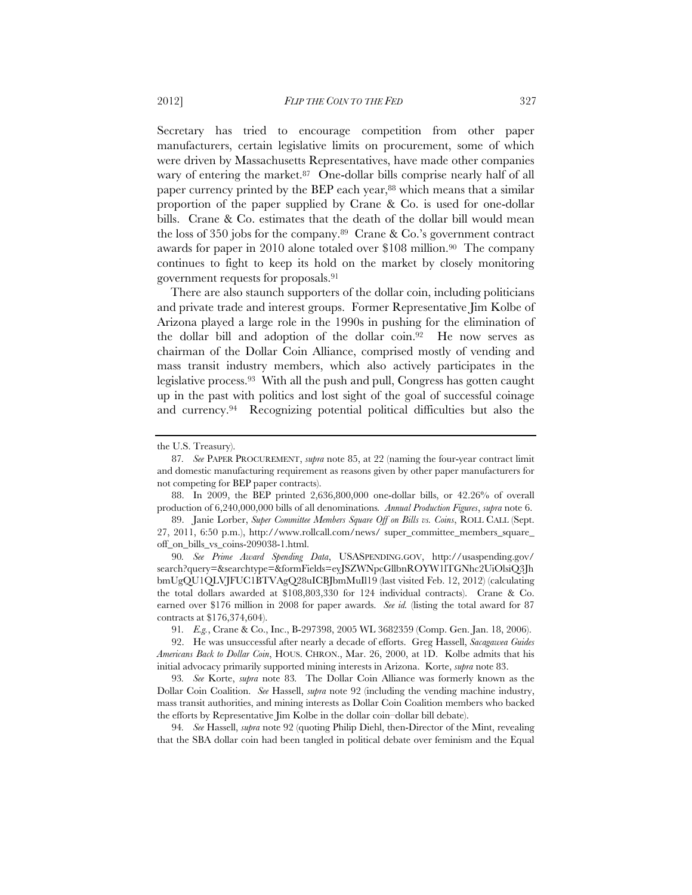Secretary has tried to encourage competition from other paper manufacturers, certain legislative limits on procurement, some of which were driven by Massachusetts Representatives, have made other companies wary of entering the market.<sup>87</sup> One-dollar bills comprise nearly half of all paper currency printed by the BEP each year,<sup>88</sup> which means that a similar proportion of the paper supplied by Crane & Co. is used for one-dollar bills. Crane & Co. estimates that the death of the dollar bill would mean the loss of 350 jobs for the company.<sup>89</sup> Crane & Co.'s government contract awards for paper in 2010 alone totaled over \$108 million.90 The company continues to fight to keep its hold on the market by closely monitoring government requests for proposals.91

There are also staunch supporters of the dollar coin, including politicians and private trade and interest groups. Former Representative Jim Kolbe of Arizona played a large role in the 1990s in pushing for the elimination of the dollar bill and adoption of the dollar coin.92 He now serves as chairman of the Dollar Coin Alliance, comprised mostly of vending and mass transit industry members, which also actively participates in the legislative process.93 With all the push and pull, Congress has gotten caught up in the past with politics and lost sight of the goal of successful coinage and currency.94 Recognizing potential political difficulties but also the

the U.S. Treasury).

<sup>87</sup>*. See* PAPER PROCUREMENT, *supra* note 85, at 22 (naming the four-year contract limit and domestic manufacturing requirement as reasons given by other paper manufacturers for not competing for BEP paper contracts).

<sup>88.</sup> In 2009, the BEP printed 2,636,800,000 one-dollar bills, or 42.26% of overall production of 6,240,000,000 bills of all denominations*. Annual Production Figures*, *supra* note 6.

<sup>89.</sup> Janie Lorber, *Super Committee Members Square Off on Bills vs. Coins*, ROLL CALL (Sept. 27, 2011, 6:50 p.m.), http://www.rollcall.com/news/ super\_committee\_members\_square\_ off\_on\_bills\_vs\_coins-209038-1.html.

<sup>90</sup>*. See Prime Award Spending Data*, USASPENDING.GOV, http://usaspending.gov/ search?query=&searchtype=&formFields=eyJSZWNpcGllbnROYW1lTGNhc2UiOlsiQ3Jh bmUgQU1QLVJFUC1BTVAgQ28uICBJbmMuIl19 (last visited Feb. 12, 2012) (calculating the total dollars awarded at \$108,803,330 for 124 individual contracts). Crane & Co. earned over \$176 million in 2008 for paper awards. *See id.* (listing the total award for 87 contracts at \$176,374,604).

<sup>91</sup>*. E.g.*, Crane & Co., Inc., B-297398, 2005 WL 3682359 (Comp. Gen. Jan. 18, 2006).

<sup>92.</sup> He was unsuccessful after nearly a decade of efforts. Greg Hassell, *Sacagawea Guides Americans Back to Dollar Coin*, HOUS. CHRON., Mar. 26, 2000, at 1D. Kolbe admits that his initial advocacy primarily supported mining interests in Arizona. Korte, *supra* note 83.

<sup>93</sup>*. See* Korte, *supra* note 83*.* The Dollar Coin Alliance was formerly known as the Dollar Coin Coalition. *See* Hassell, *supra* note 92 (including the vending machine industry, mass transit authorities, and mining interests as Dollar Coin Coalition members who backed the efforts by Representative Jim Kolbe in the dollar coin–dollar bill debate).

<sup>94</sup>*. See* Hassell, *supra* note 92 (quoting Philip Diehl, then-Director of the Mint, revealing that the SBA dollar coin had been tangled in political debate over feminism and the Equal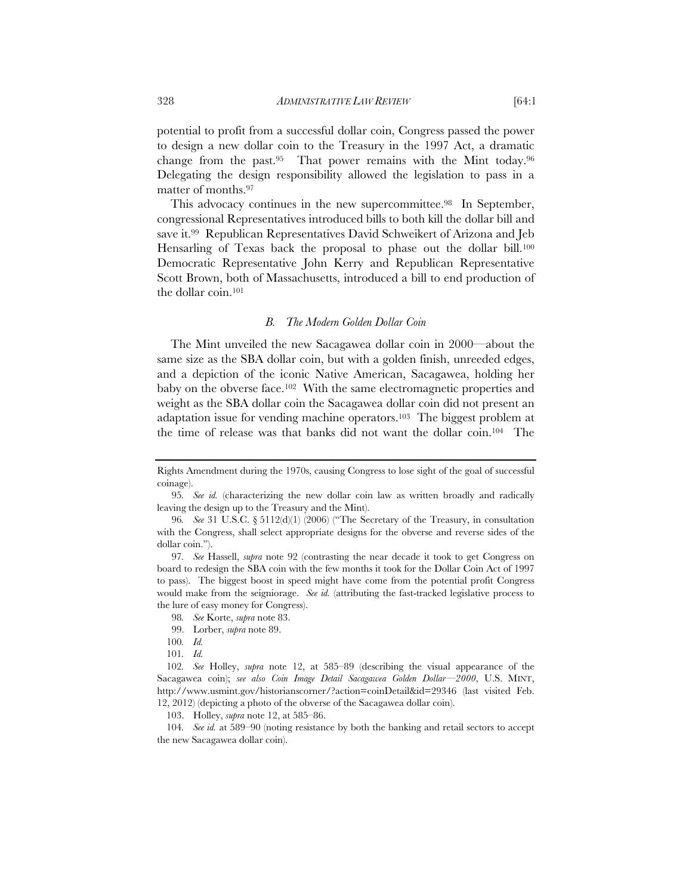potential to profit from a successful dollar coin, Congress passed the power to design a new dollar coin to the Treasury in the 1997 Act, a dramatic change from the past.95 That power remains with the Mint today.96 Delegating the design responsibility allowed the legislation to pass in a matter of months.97

This advocacy continues in the new supercommittee.<sup>98</sup> In September, congressional Representatives introduced bills to both kill the dollar bill and save it.99 Republican Representatives David Schweikert of Arizona and Jeb Hensarling of Texas back the proposal to phase out the dollar bill.<sup>100</sup> Democratic Representative John Kerry and Republican Representative Scott Brown, both of Massachusetts, introduced a bill to end production of the dollar coin.101

#### *B. The Modern Golden Dollar Coin*

The Mint unveiled the new Sacagawea dollar coin in 2000—about the same size as the SBA dollar coin, but with a golden finish, unreeded edges, and a depiction of the iconic Native American, Sacagawea, holding her baby on the obverse face.102 With the same electromagnetic properties and weight as the SBA dollar coin the Sacagawea dollar coin did not present an adaptation issue for vending machine operators.103 The biggest problem at the time of release was that banks did not want the dollar coin.104 The

103. Holley, *supra* note 12, at 585–86.

104*. See id.* at 589–90 (noting resistance by both the banking and retail sectors to accept the new Sacagawea dollar coin).

Rights Amendment during the 1970s, causing Congress to lose sight of the goal of successful coinage).

<sup>95</sup>*. See id.* (characterizing the new dollar coin law as written broadly and radically leaving the design up to the Treasury and the Mint).

<sup>96</sup>*. See* 31 U.S.C. § 5112(d)(1) (2006) ("The Secretary of the Treasury, in consultation with the Congress, shall select appropriate designs for the obverse and reverse sides of the dollar coin.").

<sup>97</sup>*. See* Hassell, *supra* note 92 (contrasting the near decade it took to get Congress on board to redesign the SBA coin with the few months it took for the Dollar Coin Act of 1997 to pass). The biggest boost in speed might have come from the potential profit Congress would make from the seigniorage. *See id.* (attributing the fast-tracked legislative process to the lure of easy money for Congress).

<sup>98</sup>*. See* Korte, *supra* note 83.

<sup>99.</sup> Lorber, *supra* note 89.

<sup>100</sup>*. Id.* 

<sup>101</sup>*. Id.*

<sup>102</sup>*. See* Holley, *supra* note 12, at 585–89 (describing the visual appearance of the Sacagawea coin); *see also Coin Image Detail Sacagawea Golden Dollar—2000*, U.S. MINT, http://www.usmint.gov/historianscorner/?action=coinDetail&id=29346 (last visited Feb. 12, 2012) (depicting a photo of the obverse of the Sacagawea dollar coin).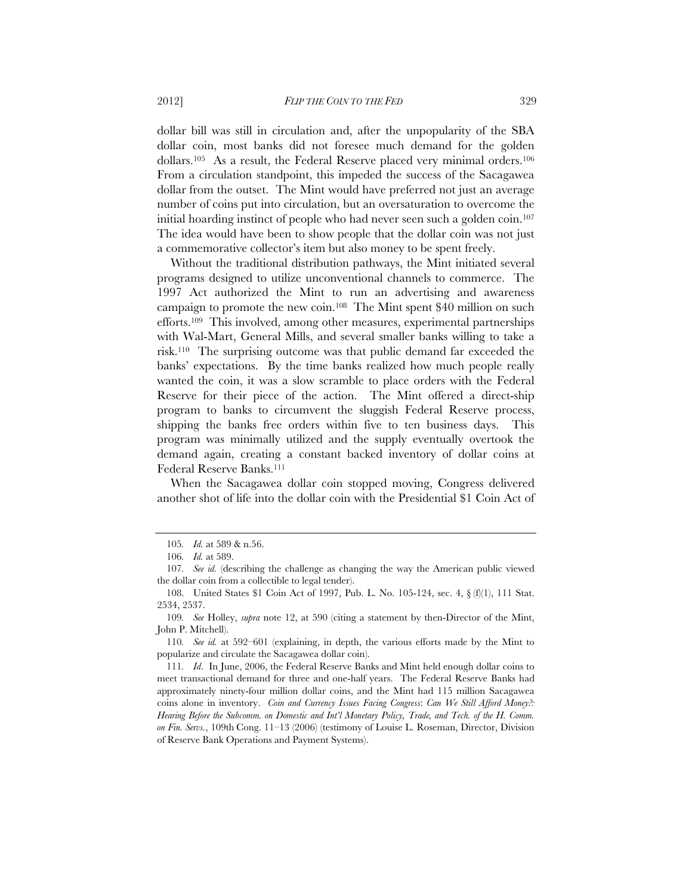dollar bill was still in circulation and, after the unpopularity of the SBA dollar coin, most banks did not foresee much demand for the golden dollars.105 As a result, the Federal Reserve placed very minimal orders.106 From a circulation standpoint, this impeded the success of the Sacagawea dollar from the outset. The Mint would have preferred not just an average number of coins put into circulation, but an oversaturation to overcome the initial hoarding instinct of people who had never seen such a golden coin.107 The idea would have been to show people that the dollar coin was not just a commemorative collector's item but also money to be spent freely.

Without the traditional distribution pathways, the Mint initiated several programs designed to utilize unconventional channels to commerce. The 1997 Act authorized the Mint to run an advertising and awareness campaign to promote the new coin.108 The Mint spent \$40 million on such efforts.109 This involved, among other measures, experimental partnerships with Wal-Mart, General Mills, and several smaller banks willing to take a risk.110 The surprising outcome was that public demand far exceeded the banks' expectations. By the time banks realized how much people really wanted the coin, it was a slow scramble to place orders with the Federal Reserve for their piece of the action. The Mint offered a direct-ship program to banks to circumvent the sluggish Federal Reserve process, shipping the banks free orders within five to ten business days. This program was minimally utilized and the supply eventually overtook the demand again, creating a constant backed inventory of dollar coins at Federal Reserve Banks.111

When the Sacagawea dollar coin stopped moving, Congress delivered another shot of life into the dollar coin with the Presidential \$1 Coin Act of

<sup>105</sup>*. Id.* at 589 & n.56.

<sup>106</sup>*. Id.* at 589.

<sup>107</sup>*. See id.* (describing the challenge as changing the way the American public viewed the dollar coin from a collectible to legal tender).

 <sup>108.</sup> United States \$1 Coin Act of 1997, Pub. L. No. 105-124, sec. 4, § (f)(1), 111 Stat. 2534, 2537.

<sup>109</sup>*. See* Holley, *supra* note 12, at 590 (citing a statement by then-Director of the Mint, John P. Mitchell).

<sup>110</sup>*. See id.* at 592–601 (explaining, in depth, the various efforts made by the Mint to popularize and circulate the Sacagawea dollar coin).

<sup>111</sup>*. Id*.In June, 2006, the Federal Reserve Banks and Mint held enough dollar coins to meet transactional demand for three and one-half years. The Federal Reserve Banks had approximately ninety-four million dollar coins, and the Mint had 115 million Sacagawea coins alone in inventory. *Coin and Currency Issues Facing Congress*: *Can We Still Afford Money?: Hearing Before the Subcomm. on Domestic and Int'l Monetary Policy, Trade, and Tech. of the H. Comm. on Fin. Servs.*, 109th Cong. 11–13 (2006) (testimony of Louise L. Roseman, Director, Division of Reserve Bank Operations and Payment Systems).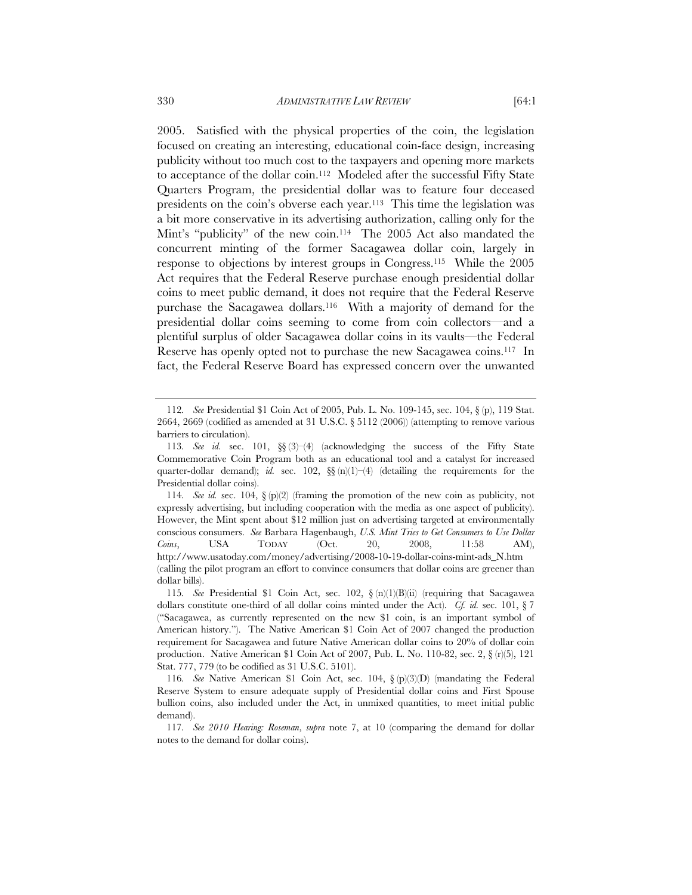2005. Satisfied with the physical properties of the coin, the legislation focused on creating an interesting, educational coin-face design, increasing publicity without too much cost to the taxpayers and opening more markets to acceptance of the dollar coin.112 Modeled after the successful Fifty State Quarters Program, the presidential dollar was to feature four deceased presidents on the coin's obverse each year.113 This time the legislation was a bit more conservative in its advertising authorization, calling only for the Mint's "publicity" of the new coin.<sup>114</sup> The 2005 Act also mandated the concurrent minting of the former Sacagawea dollar coin, largely in response to objections by interest groups in Congress.115 While the 2005 Act requires that the Federal Reserve purchase enough presidential dollar coins to meet public demand, it does not require that the Federal Reserve purchase the Sacagawea dollars.116 With a majority of demand for the presidential dollar coins seeming to come from coin collectors—and a plentiful surplus of older Sacagawea dollar coins in its vaults—the Federal Reserve has openly opted not to purchase the new Sacagawea coins.117 In fact, the Federal Reserve Board has expressed concern over the unwanted

<sup>112</sup>*. See* Presidential \$1 Coin Act of 2005, Pub. L. No. 109-145, sec. 104, § (p), 119 Stat. 2664, 2669 (codified as amended at 31 U.S.C.  $\S$  5112 (2006)) (attempting to remove various barriers to circulation).

<sup>113</sup>*. See id.* sec. 101, §§ (3)–(4) (acknowledging the success of the Fifty State Commemorative Coin Program both as an educational tool and a catalyst for increased quarter-dollar demand); *id.* sec. 102,  $\S$  (n)(1)–(4) (detailing the requirements for the Presidential dollar coins).

<sup>114</sup>*. See id.* sec. 104, § (p)(2) (framing the promotion of the new coin as publicity, not expressly advertising, but including cooperation with the media as one aspect of publicity). However, the Mint spent about \$12 million just on advertising targeted at environmentally conscious consumers. *See* Barbara Hagenbaugh, *U.S. Mint Tries to Get Consumers to Use Dollar Coins*, USA TODAY (Oct. 20, 2008, 11:58 AM), http://www.usatoday.com/money/advertising/2008-10-19-dollar-coins-mint-ads\_N.htm (calling the pilot program an effort to convince consumers that dollar coins are greener than dollar bills).

<sup>115</sup>*. See* Presidential \$1 Coin Act, sec. 102, § (n)(1)(B)(ii) (requiring that Sacagawea dollars constitute one-third of all dollar coins minted under the Act). *Cf. id.* sec. 101, § 7 ("Sacagawea, as currently represented on the new \$1 coin, is an important symbol of American history."). The Native American \$1 Coin Act of 2007 changed the production requirement for Sacagawea and future Native American dollar coins to 20% of dollar coin production. Native American \$1 Coin Act of 2007, Pub. L. No. 110-82, sec. 2, § (r)(5), 121 Stat. 777, 779 (to be codified as 31 U.S.C. 5101).

<sup>116</sup>*. See* Native American \$1 Coin Act, sec. 104, § (p)(3)(D) (mandating the Federal Reserve System to ensure adequate supply of Presidential dollar coins and First Spouse bullion coins, also included under the Act, in unmixed quantities, to meet initial public demand).

<sup>117</sup>*. See 2010 Hearing: Roseman*, *supra* note 7, at 10 (comparing the demand for dollar notes to the demand for dollar coins).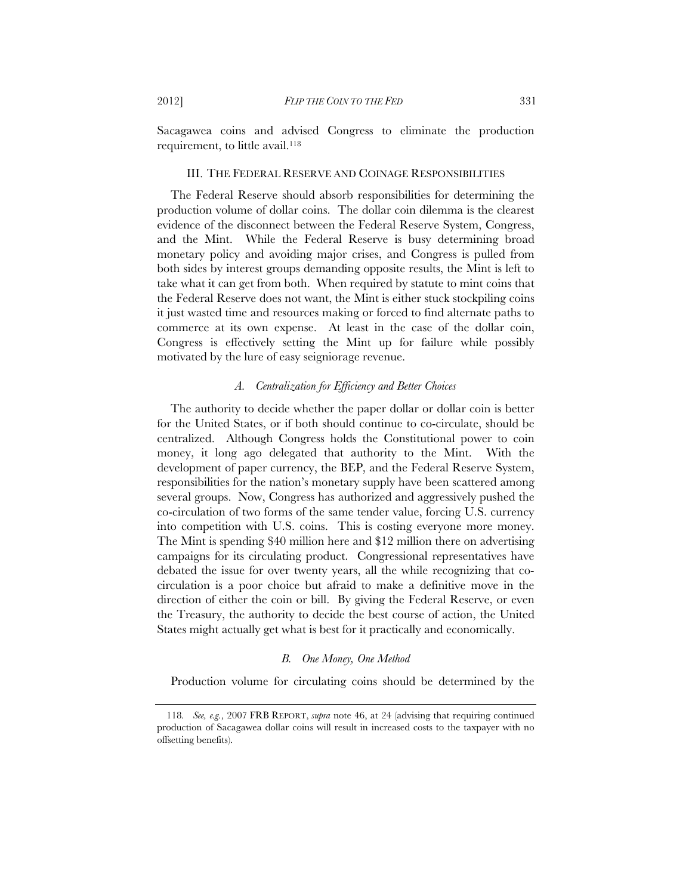Sacagawea coins and advised Congress to eliminate the production requirement, to little avail.<sup>118</sup>

# III. THE FEDERAL RESERVE AND COINAGE RESPONSIBILITIES

The Federal Reserve should absorb responsibilities for determining the production volume of dollar coins. The dollar coin dilemma is the clearest evidence of the disconnect between the Federal Reserve System, Congress, and the Mint. While the Federal Reserve is busy determining broad monetary policy and avoiding major crises, and Congress is pulled from both sides by interest groups demanding opposite results, the Mint is left to take what it can get from both. When required by statute to mint coins that the Federal Reserve does not want, the Mint is either stuck stockpiling coins it just wasted time and resources making or forced to find alternate paths to commerce at its own expense. At least in the case of the dollar coin, Congress is effectively setting the Mint up for failure while possibly motivated by the lure of easy seigniorage revenue.

# *A. Centralization for Efficiency and Better Choices*

The authority to decide whether the paper dollar or dollar coin is better for the United States, or if both should continue to co-circulate, should be centralized. Although Congress holds the Constitutional power to coin money, it long ago delegated that authority to the Mint. With the development of paper currency, the BEP, and the Federal Reserve System, responsibilities for the nation's monetary supply have been scattered among several groups. Now, Congress has authorized and aggressively pushed the co-circulation of two forms of the same tender value, forcing U.S. currency into competition with U.S. coins. This is costing everyone more money. The Mint is spending \$40 million here and \$12 million there on advertising campaigns for its circulating product. Congressional representatives have debated the issue for over twenty years, all the while recognizing that cocirculation is a poor choice but afraid to make a definitive move in the direction of either the coin or bill. By giving the Federal Reserve, or even the Treasury, the authority to decide the best course of action, the United States might actually get what is best for it practically and economically.

## *B. One Money, One Method*

Production volume for circulating coins should be determined by the

<sup>118</sup>*. See, e.g.*, 2007 FRB REPORT, *supra* note 46, at 24 (advising that requiring continued production of Sacagawea dollar coins will result in increased costs to the taxpayer with no offsetting benefits).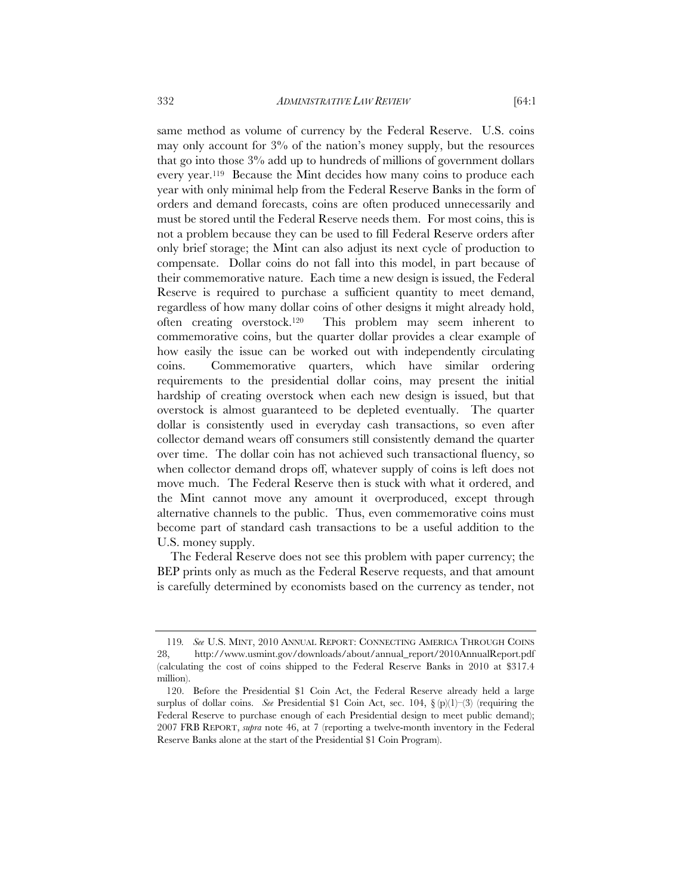same method as volume of currency by the Federal Reserve. U.S. coins may only account for 3% of the nation's money supply, but the resources that go into those 3% add up to hundreds of millions of government dollars every year.119 Because the Mint decides how many coins to produce each year with only minimal help from the Federal Reserve Banks in the form of orders and demand forecasts, coins are often produced unnecessarily and must be stored until the Federal Reserve needs them. For most coins, this is not a problem because they can be used to fill Federal Reserve orders after only brief storage; the Mint can also adjust its next cycle of production to compensate. Dollar coins do not fall into this model, in part because of their commemorative nature. Each time a new design is issued, the Federal Reserve is required to purchase a sufficient quantity to meet demand, regardless of how many dollar coins of other designs it might already hold, often creating overstock.120 This problem may seem inherent to commemorative coins, but the quarter dollar provides a clear example of how easily the issue can be worked out with independently circulating coins. Commemorative quarters, which have similar ordering requirements to the presidential dollar coins, may present the initial hardship of creating overstock when each new design is issued, but that overstock is almost guaranteed to be depleted eventually. The quarter dollar is consistently used in everyday cash transactions, so even after collector demand wears off consumers still consistently demand the quarter over time. The dollar coin has not achieved such transactional fluency, so when collector demand drops off, whatever supply of coins is left does not move much. The Federal Reserve then is stuck with what it ordered, and the Mint cannot move any amount it overproduced, except through alternative channels to the public. Thus, even commemorative coins must become part of standard cash transactions to be a useful addition to the U.S. money supply.

The Federal Reserve does not see this problem with paper currency; the BEP prints only as much as the Federal Reserve requests, and that amount is carefully determined by economists based on the currency as tender, not

<sup>119</sup>*. See* U.S. MINT, 2010 ANNUAL REPORT: CONNECTING AMERICA THROUGH COINS 28, http://www.usmint.gov/downloads/about/annual\_report/2010AnnualReport.pdf (calculating the cost of coins shipped to the Federal Reserve Banks in 2010 at \$317.4 million).

 <sup>120.</sup> Before the Presidential \$1 Coin Act, the Federal Reserve already held a large surplus of dollar coins. *See* Presidential \$1 Coin Act, sec. 104, § (p)(1)-(3) (requiring the Federal Reserve to purchase enough of each Presidential design to meet public demand); 2007 FRB REPORT, *supra* note 46, at 7 (reporting a twelve-month inventory in the Federal Reserve Banks alone at the start of the Presidential \$1 Coin Program).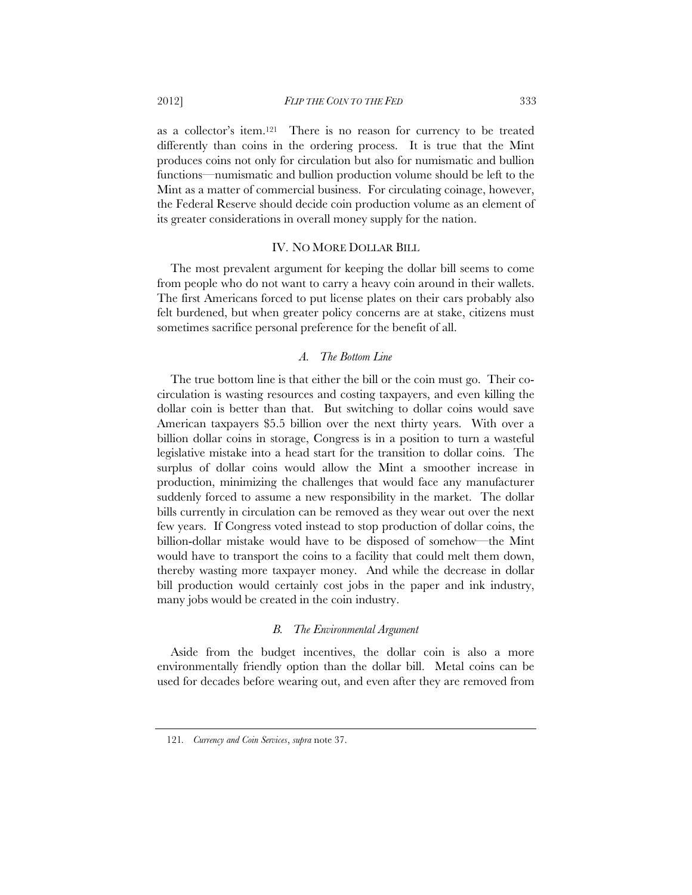as a collector's item.121 There is no reason for currency to be treated differently than coins in the ordering process. It is true that the Mint produces coins not only for circulation but also for numismatic and bullion functions—numismatic and bullion production volume should be left to the Mint as a matter of commercial business. For circulating coinage, however, the Federal Reserve should decide coin production volume as an element of its greater considerations in overall money supply for the nation.

#### IV. NO MORE DOLLAR BILL

The most prevalent argument for keeping the dollar bill seems to come from people who do not want to carry a heavy coin around in their wallets. The first Americans forced to put license plates on their cars probably also felt burdened, but when greater policy concerns are at stake, citizens must sometimes sacrifice personal preference for the benefit of all.

## *A. The Bottom Line*

The true bottom line is that either the bill or the coin must go. Their cocirculation is wasting resources and costing taxpayers, and even killing the dollar coin is better than that. But switching to dollar coins would save American taxpayers \$5.5 billion over the next thirty years. With over a billion dollar coins in storage, Congress is in a position to turn a wasteful legislative mistake into a head start for the transition to dollar coins. The surplus of dollar coins would allow the Mint a smoother increase in production, minimizing the challenges that would face any manufacturer suddenly forced to assume a new responsibility in the market. The dollar bills currently in circulation can be removed as they wear out over the next few years. If Congress voted instead to stop production of dollar coins, the billion-dollar mistake would have to be disposed of somehow—the Mint would have to transport the coins to a facility that could melt them down, thereby wasting more taxpayer money. And while the decrease in dollar bill production would certainly cost jobs in the paper and ink industry, many jobs would be created in the coin industry.

### *B. The Environmental Argument*

Aside from the budget incentives, the dollar coin is also a more environmentally friendly option than the dollar bill. Metal coins can be used for decades before wearing out, and even after they are removed from

<sup>121</sup>*. Currency and Coin Services*, *supra* note 37.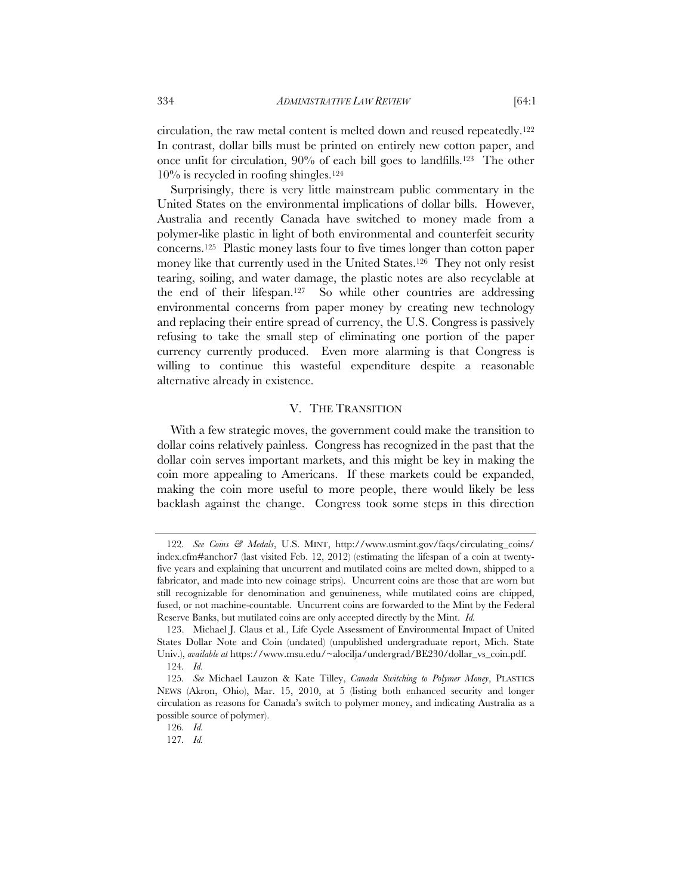circulation, the raw metal content is melted down and reused repeatedly.122 In contrast, dollar bills must be printed on entirely new cotton paper, and once unfit for circulation, 90% of each bill goes to landfills.123 The other  $10\%$  is recycled in roofing shingles.<sup>124</sup>

Surprisingly, there is very little mainstream public commentary in the United States on the environmental implications of dollar bills. However, Australia and recently Canada have switched to money made from a polymer-like plastic in light of both environmental and counterfeit security concerns.125 Plastic money lasts four to five times longer than cotton paper money like that currently used in the United States.<sup>126</sup> They not only resist tearing, soiling, and water damage, the plastic notes are also recyclable at the end of their lifespan.127 So while other countries are addressing environmental concerns from paper money by creating new technology and replacing their entire spread of currency, the U.S. Congress is passively refusing to take the small step of eliminating one portion of the paper currency currently produced. Even more alarming is that Congress is willing to continue this wasteful expenditure despite a reasonable alternative already in existence.

# V. THE TRANSITION

With a few strategic moves, the government could make the transition to dollar coins relatively painless. Congress has recognized in the past that the dollar coin serves important markets, and this might be key in making the coin more appealing to Americans. If these markets could be expanded, making the coin more useful to more people, there would likely be less backlash against the change. Congress took some steps in this direction

<sup>122</sup>*. See Coins & Medals*, U.S. MINT, http://www.usmint.gov/faqs/circulating\_coins/ index.cfm#anchor7 (last visited Feb. 12, 2012) (estimating the lifespan of a coin at twentyfive years and explaining that uncurrent and mutilated coins are melted down, shipped to a fabricator, and made into new coinage strips). Uncurrent coins are those that are worn but still recognizable for denomination and genuineness, while mutilated coins are chipped, fused, or not machine-countable. Uncurrent coins are forwarded to the Mint by the Federal Reserve Banks, but mutilated coins are only accepted directly by the Mint. *Id.* 

 <sup>123.</sup> Michael J. Claus et al., Life Cycle Assessment of Environmental Impact of United States Dollar Note and Coin (undated) (unpublished undergraduate report, Mich. State Univ.), *available at* https://www.msu.edu/~alocilja/undergrad/BE230/dollar\_vs\_coin.pdf. 124*. Id.* 

<sup>125</sup>*. See* Michael Lauzon & Kate Tilley, *Canada Switching to Polymer Money*, PLASTICS NEWS (Akron, Ohio), Mar. 15, 2010, at 5 (listing both enhanced security and longer circulation as reasons for Canada's switch to polymer money, and indicating Australia as a possible source of polymer).

<sup>126</sup>*. Id.*

<sup>127</sup>*. Id.*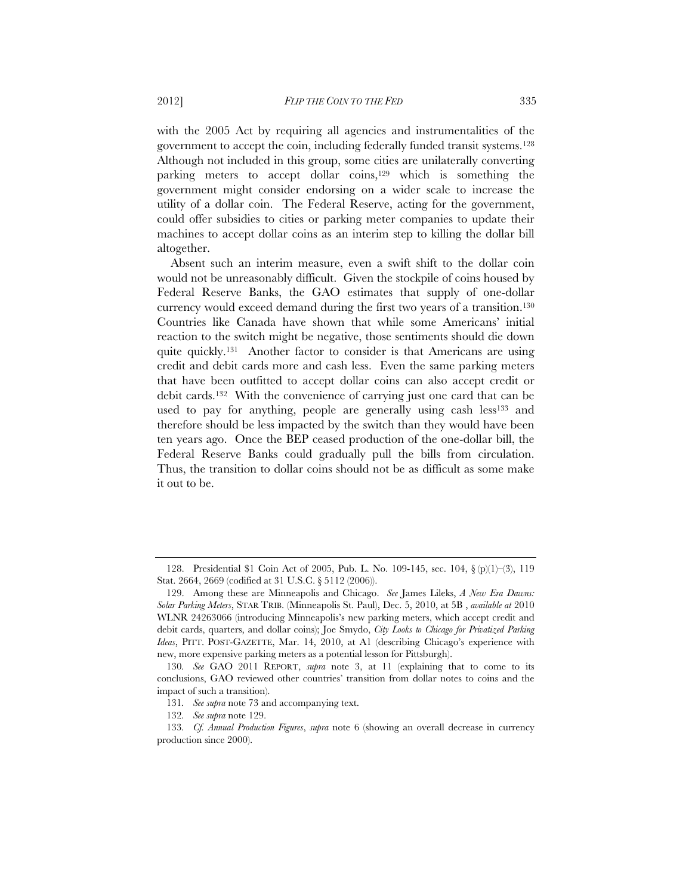with the 2005 Act by requiring all agencies and instrumentalities of the government to accept the coin, including federally funded transit systems.128 Although not included in this group, some cities are unilaterally converting parking meters to accept dollar coins,<sup>129</sup> which is something the government might consider endorsing on a wider scale to increase the utility of a dollar coin. The Federal Reserve, acting for the government, could offer subsidies to cities or parking meter companies to update their machines to accept dollar coins as an interim step to killing the dollar bill altogether.

Absent such an interim measure, even a swift shift to the dollar coin would not be unreasonably difficult. Given the stockpile of coins housed by Federal Reserve Banks, the GAO estimates that supply of one-dollar currency would exceed demand during the first two years of a transition.130 Countries like Canada have shown that while some Americans' initial reaction to the switch might be negative, those sentiments should die down quite quickly.131 Another factor to consider is that Americans are using credit and debit cards more and cash less. Even the same parking meters that have been outfitted to accept dollar coins can also accept credit or debit cards.132 With the convenience of carrying just one card that can be used to pay for anything, people are generally using cash less<sup>133</sup> and therefore should be less impacted by the switch than they would have been ten years ago. Once the BEP ceased production of the one-dollar bill, the Federal Reserve Banks could gradually pull the bills from circulation. Thus, the transition to dollar coins should not be as difficult as some make it out to be.

 <sup>128.</sup> Presidential \$1 Coin Act of 2005, Pub. L. No. 109-145, sec. 104, § (p)(1)–(3), 119 Stat. 2664, 2669 (codified at 31 U.S.C. § 5112 (2006)).

 <sup>129.</sup> Among these are Minneapolis and Chicago. *See* James Lileks, *A New Era Dawns: Solar Parking Meters*, STAR TRIB. (Minneapolis St. Paul), Dec. 5, 2010, at 5B , *available at* 2010 WLNR 24263066 (introducing Minneapolis's new parking meters, which accept credit and debit cards, quarters, and dollar coins); Joe Smydo, *City Looks to Chicago for Privatized Parking Ideas*, PITT. POST-GAZETTE, Mar. 14, 2010, at A1 (describing Chicago's experience with new, more expensive parking meters as a potential lesson for Pittsburgh).

<sup>130</sup>*. See* GAO 2011 REPORT, *supra* note 3, at 11 (explaining that to come to its conclusions, GAO reviewed other countries' transition from dollar notes to coins and the impact of such a transition).

<sup>131</sup>*. See supra* note 73 and accompanying text.

<sup>132</sup>*. See supra* note 129.

<sup>133</sup>*. Cf. Annual Production Figures*, *supra* note 6 (showing an overall decrease in currency production since 2000).